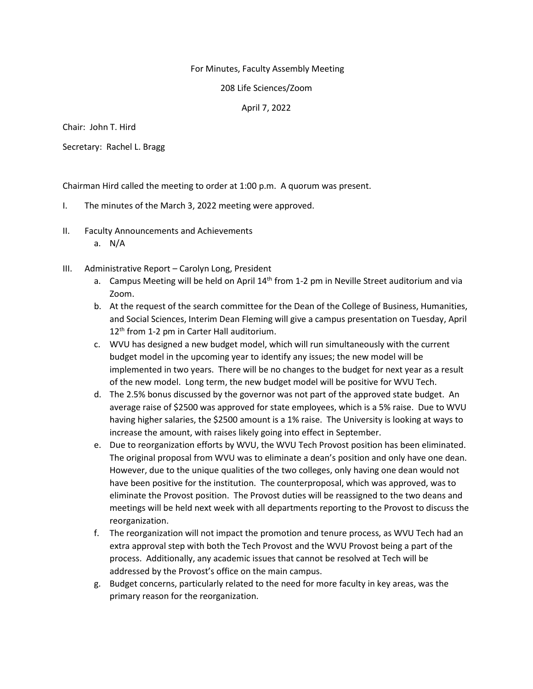## For Minutes, Faculty Assembly Meeting

## 208 Life Sciences/Zoom

## April 7, 2022

Chair: John T. Hird

Secretary: Rachel L. Bragg

Chairman Hird called the meeting to order at 1:00 p.m. A quorum was present.

- I. The minutes of the March 3, 2022 meeting were approved.
- II. Faculty Announcements and Achievements
	- a. N/A
- III. Administrative Report Carolyn Long, President
	- a. Campus Meeting will be held on April 14<sup>th</sup> from 1-2 pm in Neville Street auditorium and via Zoom.
	- b. At the request of the search committee for the Dean of the College of Business, Humanities, and Social Sciences, Interim Dean Fleming will give a campus presentation on Tuesday, April 12<sup>th</sup> from 1-2 pm in Carter Hall auditorium.
	- c. WVU has designed a new budget model, which will run simultaneously with the current budget model in the upcoming year to identify any issues; the new model will be implemented in two years. There will be no changes to the budget for next year as a result of the new model. Long term, the new budget model will be positive for WVU Tech.
	- d. The 2.5% bonus discussed by the governor was not part of the approved state budget. An average raise of \$2500 was approved for state employees, which is a 5% raise. Due to WVU having higher salaries, the \$2500 amount is a 1% raise. The University is looking at ways to increase the amount, with raises likely going into effect in September.
	- e. Due to reorganization efforts by WVU, the WVU Tech Provost position has been eliminated. The original proposal from WVU was to eliminate a dean's position and only have one dean. However, due to the unique qualities of the two colleges, only having one dean would not have been positive for the institution. The counterproposal, which was approved, was to eliminate the Provost position. The Provost duties will be reassigned to the two deans and meetings will be held next week with all departments reporting to the Provost to discuss the reorganization.
	- f. The reorganization will not impact the promotion and tenure process, as WVU Tech had an extra approval step with both the Tech Provost and the WVU Provost being a part of the process. Additionally, any academic issues that cannot be resolved at Tech will be addressed by the Provost's office on the main campus.
	- g. Budget concerns, particularly related to the need for more faculty in key areas, was the primary reason for the reorganization.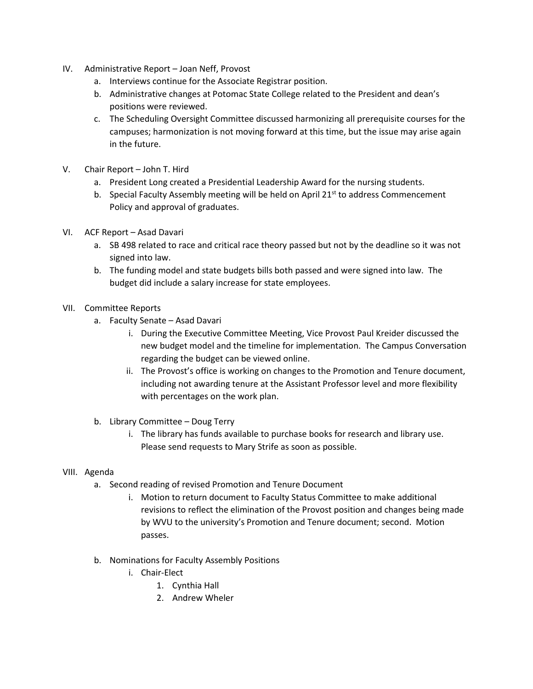- IV. Administrative Report Joan Neff, Provost
	- a. Interviews continue for the Associate Registrar position.
	- b. Administrative changes at Potomac State College related to the President and dean's positions were reviewed.
	- c. The Scheduling Oversight Committee discussed harmonizing all prerequisite courses for the campuses; harmonization is not moving forward at this time, but the issue may arise again in the future.
- V. Chair Report John T. Hird
	- a. President Long created a Presidential Leadership Award for the nursing students.
	- b. Special Faculty Assembly meeting will be held on April 21 $st$  to address Commencement Policy and approval of graduates.
- VI. ACF Report Asad Davari
	- a. SB 498 related to race and critical race theory passed but not by the deadline so it was not signed into law.
	- b. The funding model and state budgets bills both passed and were signed into law. The budget did include a salary increase for state employees.
- VII. Committee Reports
	- a. Faculty Senate Asad Davari
		- i. During the Executive Committee Meeting, Vice Provost Paul Kreider discussed the new budget model and the timeline for implementation. The Campus Conversation regarding the budget can be viewed online.
		- ii. The Provost's office is working on changes to the Promotion and Tenure document, including not awarding tenure at the Assistant Professor level and more flexibility with percentages on the work plan.
	- b. Library Committee Doug Terry
		- i. The library has funds available to purchase books for research and library use. Please send requests to Mary Strife as soon as possible.

## VIII. Agenda

- a. Second reading of revised Promotion and Tenure Document
	- i. Motion to return document to Faculty Status Committee to make additional revisions to reflect the elimination of the Provost position and changes being made by WVU to the university's Promotion and Tenure document; second. Motion passes.
- b. Nominations for Faculty Assembly Positions
	- i. Chair-Elect
		- 1. Cynthia Hall
		- 2. Andrew Wheler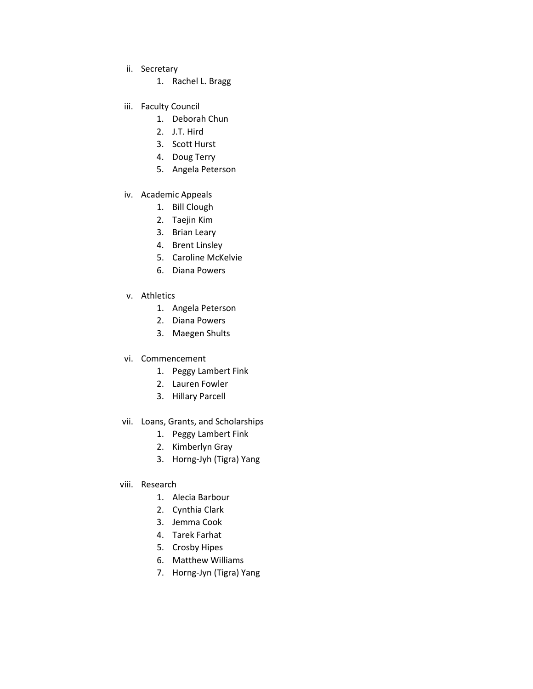- ii. Secretary
	- 1. Rachel L. Bragg
- iii. Faculty Council
	- 1. Deborah Chun
	- 2. J.T. Hird
	- 3. Scott Hurst
	- 4. Doug Terry
	- 5. Angela Peterson
- iv. Academic Appeals
	- 1. Bill Clough
	- 2. Taejin Kim
	- 3. Brian Leary
	- 4. Brent Linsley
	- 5. Caroline McKelvie
	- 6. Diana Powers
- v. Athletics
	- 1. Angela Peterson
	- 2. Diana Powers
	- 3. Maegen Shults
- vi. Commencement
	- 1. Peggy Lambert Fink
	- 2. Lauren Fowler
	- 3. Hillary Parcell
- vii. Loans, Grants, and Scholarships
	- 1. Peggy Lambert Fink
	- 2. Kimberlyn Gray
	- 3. Horng-Jyh (Tigra) Yang
- viii. Research
	- 1. Alecia Barbour
	- 2. Cynthia Clark
	- 3. Jemma Cook
	- 4. Tarek Farhat
	- 5. Crosby Hipes
	- 6. Matthew Williams
	- 7. Horng-Jyn (Tigra) Yang